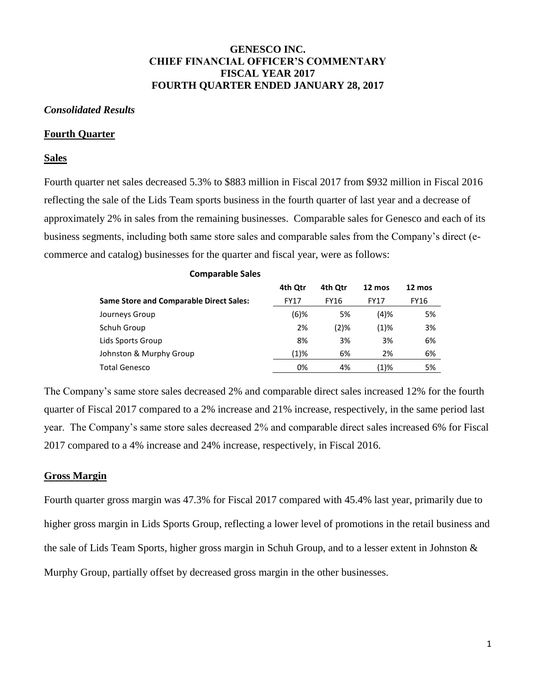## **GENESCO INC. CHIEF FINANCIAL OFFICER'S COMMENTARY FISCAL YEAR 2017 FOURTH QUARTER ENDED JANUARY 28, 2017**

### *Consolidated Results*

### **Fourth Quarter**

### **Sales**

Fourth quarter net sales decreased 5.3% to \$883 million in Fiscal 2017 from \$932 million in Fiscal 2016 reflecting the sale of the Lids Team sports business in the fourth quarter of last year and a decrease of approximately 2% in sales from the remaining businesses. Comparable sales for Genesco and each of its business segments, including both same store sales and comparable sales from the Company's direct (ecommerce and catalog) businesses for the quarter and fiscal year, were as follows:

**Comparable Sales**

| Comparable Sales                               |             |         |             |        |
|------------------------------------------------|-------------|---------|-------------|--------|
|                                                | 4th Otr     | 4th Otr | 12 mos      | 12 mos |
| <b>Same Store and Comparable Direct Sales:</b> | <b>FY17</b> | FY16    | <b>FY17</b> | FY16   |
| Journeys Group                                 | (6)%        | 5%      | (4)%        | 5%     |
| Schuh Group                                    | 2%          | (2)%    | $(1)\%$     | 3%     |
| Lids Sports Group                              | 8%          | 3%      | 3%          | 6%     |
| Johnston & Murphy Group                        | (1)%        | 6%      | 2%          | 6%     |
| <b>Total Genesco</b>                           | 0%          | 4%      | (1)%        | 5%     |

The Company's same store sales decreased 2% and comparable direct sales increased 12% for the fourth quarter of Fiscal 2017 compared to a 2% increase and 21% increase, respectively, in the same period last year. The Company's same store sales decreased 2% and comparable direct sales increased 6% for Fiscal 2017 compared to a 4% increase and 24% increase, respectively, in Fiscal 2016.

### **Gross Margin**

Fourth quarter gross margin was 47.3% for Fiscal 2017 compared with 45.4% last year, primarily due to higher gross margin in Lids Sports Group, reflecting a lower level of promotions in the retail business and the sale of Lids Team Sports, higher gross margin in Schuh Group, and to a lesser extent in Johnston & Murphy Group, partially offset by decreased gross margin in the other businesses.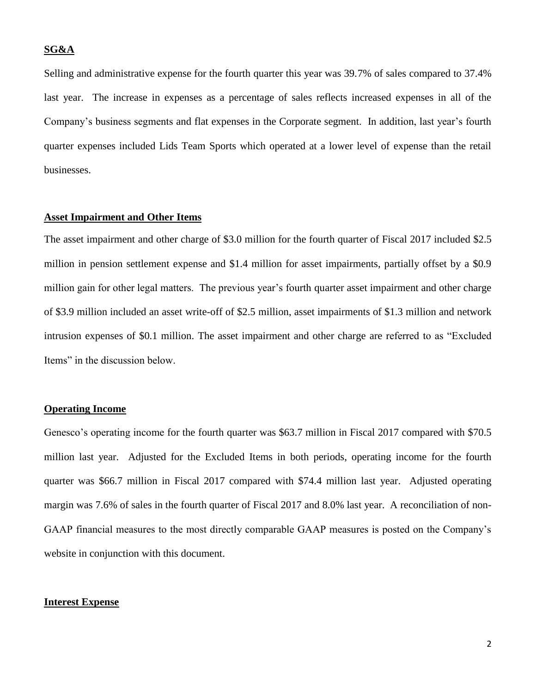### **SG&A**

Selling and administrative expense for the fourth quarter this year was 39.7% of sales compared to 37.4% last year. The increase in expenses as a percentage of sales reflects increased expenses in all of the Company's business segments and flat expenses in the Corporate segment. In addition, last year's fourth quarter expenses included Lids Team Sports which operated at a lower level of expense than the retail businesses.

#### **Asset Impairment and Other Items**

The asset impairment and other charge of \$3.0 million for the fourth quarter of Fiscal 2017 included \$2.5 million in pension settlement expense and \$1.4 million for asset impairments, partially offset by a \$0.9 million gain for other legal matters. The previous year's fourth quarter asset impairment and other charge of \$3.9 million included an asset write-off of \$2.5 million, asset impairments of \$1.3 million and network intrusion expenses of \$0.1 million. The asset impairment and other charge are referred to as "Excluded Items" in the discussion below.

### **Operating Income**

Genesco's operating income for the fourth quarter was \$63.7 million in Fiscal 2017 compared with \$70.5 million last year. Adjusted for the Excluded Items in both periods, operating income for the fourth quarter was \$66.7 million in Fiscal 2017 compared with \$74.4 million last year. Adjusted operating margin was 7.6% of sales in the fourth quarter of Fiscal 2017 and 8.0% last year. A reconciliation of non-GAAP financial measures to the most directly comparable GAAP measures is posted on the Company's website in conjunction with this document.

#### **Interest Expense**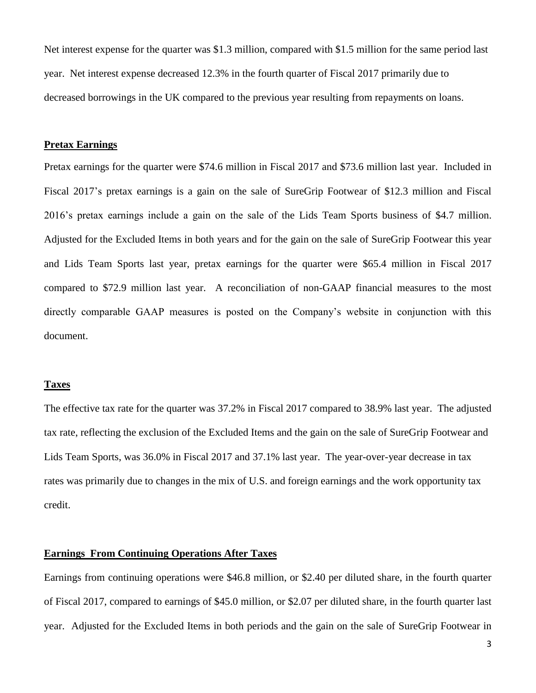Net interest expense for the quarter was \$1.3 million, compared with \$1.5 million for the same period last year. Net interest expense decreased 12.3% in the fourth quarter of Fiscal 2017 primarily due to decreased borrowings in the UK compared to the previous year resulting from repayments on loans.

### **Pretax Earnings**

Pretax earnings for the quarter were \$74.6 million in Fiscal 2017 and \$73.6 million last year. Included in Fiscal 2017's pretax earnings is a gain on the sale of SureGrip Footwear of \$12.3 million and Fiscal 2016's pretax earnings include a gain on the sale of the Lids Team Sports business of \$4.7 million. Adjusted for the Excluded Items in both years and for the gain on the sale of SureGrip Footwear this year and Lids Team Sports last year, pretax earnings for the quarter were \$65.4 million in Fiscal 2017 compared to \$72.9 million last year. A reconciliation of non-GAAP financial measures to the most directly comparable GAAP measures is posted on the Company's website in conjunction with this document.

### **Taxes**

The effective tax rate for the quarter was 37.2% in Fiscal 2017 compared to 38.9% last year. The adjusted tax rate, reflecting the exclusion of the Excluded Items and the gain on the sale of SureGrip Footwear and Lids Team Sports, was 36.0% in Fiscal 2017 and 37.1% last year. The year-over-year decrease in tax rates was primarily due to changes in the mix of U.S. and foreign earnings and the work opportunity tax credit.

## **Earnings From Continuing Operations After Taxes**

Earnings from continuing operations were \$46.8 million, or \$2.40 per diluted share, in the fourth quarter of Fiscal 2017, compared to earnings of \$45.0 million, or \$2.07 per diluted share, in the fourth quarter last year. Adjusted for the Excluded Items in both periods and the gain on the sale of SureGrip Footwear in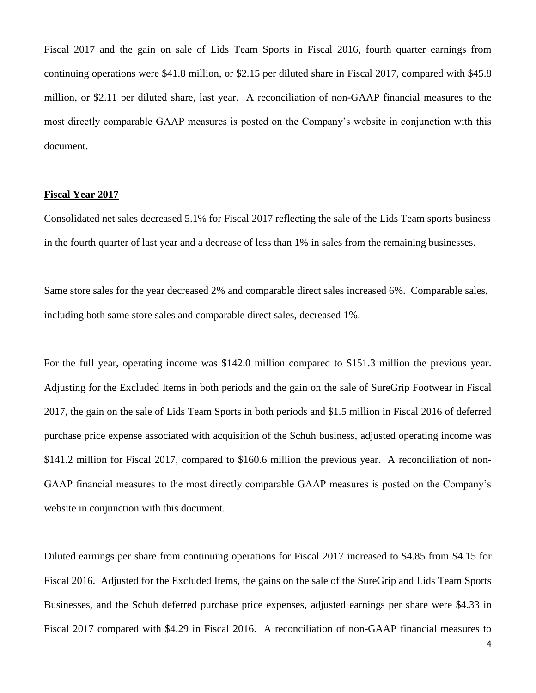Fiscal 2017 and the gain on sale of Lids Team Sports in Fiscal 2016, fourth quarter earnings from continuing operations were \$41.8 million, or \$2.15 per diluted share in Fiscal 2017, compared with \$45.8 million, or \$2.11 per diluted share, last year. A reconciliation of non-GAAP financial measures to the most directly comparable GAAP measures is posted on the Company's website in conjunction with this document.

### **Fiscal Year 2017**

Consolidated net sales decreased 5.1% for Fiscal 2017 reflecting the sale of the Lids Team sports business in the fourth quarter of last year and a decrease of less than 1% in sales from the remaining businesses.

Same store sales for the year decreased 2% and comparable direct sales increased 6%. Comparable sales, including both same store sales and comparable direct sales, decreased 1%.

For the full year, operating income was \$142.0 million compared to \$151.3 million the previous year. Adjusting for the Excluded Items in both periods and the gain on the sale of SureGrip Footwear in Fiscal 2017, the gain on the sale of Lids Team Sports in both periods and \$1.5 million in Fiscal 2016 of deferred purchase price expense associated with acquisition of the Schuh business, adjusted operating income was \$141.2 million for Fiscal 2017, compared to \$160.6 million the previous year. A reconciliation of non-GAAP financial measures to the most directly comparable GAAP measures is posted on the Company's website in conjunction with this document.

Diluted earnings per share from continuing operations for Fiscal 2017 increased to \$4.85 from \$4.15 for Fiscal 2016. Adjusted for the Excluded Items, the gains on the sale of the SureGrip and Lids Team Sports Businesses, and the Schuh deferred purchase price expenses, adjusted earnings per share were \$4.33 in Fiscal 2017 compared with \$4.29 in Fiscal 2016. A reconciliation of non-GAAP financial measures to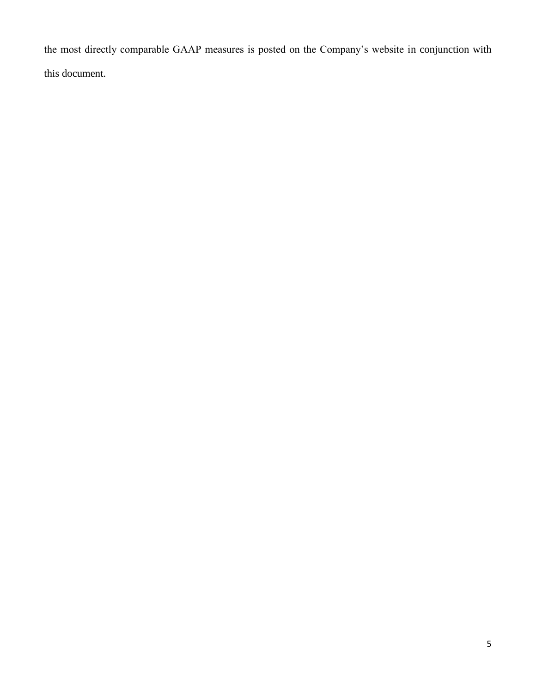the most directly comparable GAAP measures is posted on the Company's website in conjunction with this document.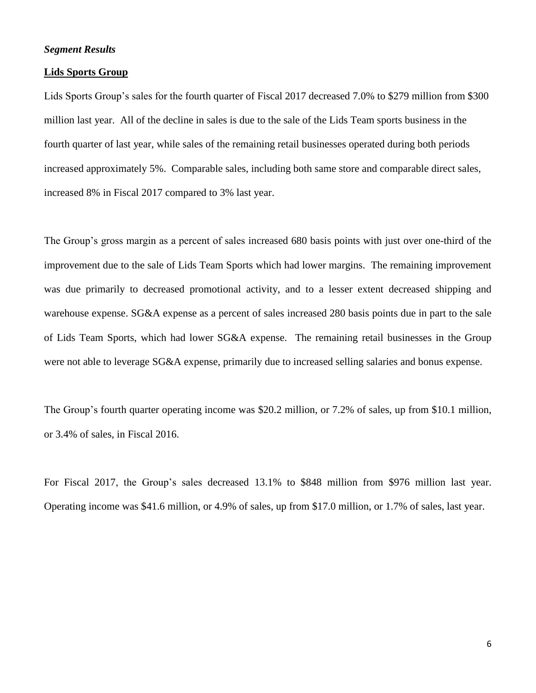### *Segment Results*

#### **Lids Sports Group**

Lids Sports Group's sales for the fourth quarter of Fiscal 2017 decreased 7.0% to \$279 million from \$300 million last year. All of the decline in sales is due to the sale of the Lids Team sports business in the fourth quarter of last year, while sales of the remaining retail businesses operated during both periods increased approximately 5%. Comparable sales, including both same store and comparable direct sales, increased 8% in Fiscal 2017 compared to 3% last year.

The Group's gross margin as a percent of sales increased 680 basis points with just over one-third of the improvement due to the sale of Lids Team Sports which had lower margins. The remaining improvement was due primarily to decreased promotional activity, and to a lesser extent decreased shipping and warehouse expense. SG&A expense as a percent of sales increased 280 basis points due in part to the sale of Lids Team Sports, which had lower SG&A expense. The remaining retail businesses in the Group were not able to leverage SG&A expense, primarily due to increased selling salaries and bonus expense.

The Group's fourth quarter operating income was \$20.2 million, or 7.2% of sales, up from \$10.1 million, or 3.4% of sales, in Fiscal 2016.

For Fiscal 2017, the Group's sales decreased 13.1% to \$848 million from \$976 million last year. Operating income was \$41.6 million, or 4.9% of sales, up from \$17.0 million, or 1.7% of sales, last year.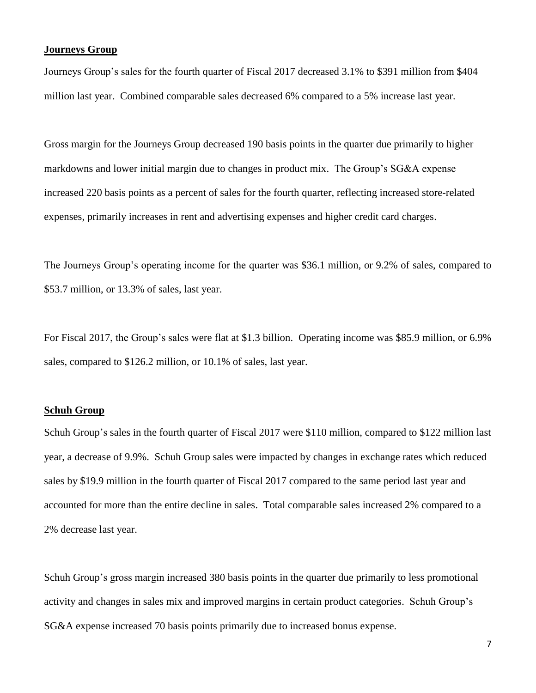### **Journeys Group**

Journeys Group's sales for the fourth quarter of Fiscal 2017 decreased 3.1% to \$391 million from \$404 million last year. Combined comparable sales decreased 6% compared to a 5% increase last year.

Gross margin for the Journeys Group decreased 190 basis points in the quarter due primarily to higher markdowns and lower initial margin due to changes in product mix. The Group's SG&A expense increased 220 basis points as a percent of sales for the fourth quarter, reflecting increased store-related expenses, primarily increases in rent and advertising expenses and higher credit card charges.

The Journeys Group's operating income for the quarter was \$36.1 million, or 9.2% of sales, compared to \$53.7 million, or 13.3% of sales, last year.

For Fiscal 2017, the Group's sales were flat at \$1.3 billion. Operating income was \$85.9 million, or 6.9% sales, compared to \$126.2 million, or 10.1% of sales, last year.

### **Schuh Group**

Schuh Group's sales in the fourth quarter of Fiscal 2017 were \$110 million, compared to \$122 million last year, a decrease of 9.9%. Schuh Group sales were impacted by changes in exchange rates which reduced sales by \$19.9 million in the fourth quarter of Fiscal 2017 compared to the same period last year and accounted for more than the entire decline in sales. Total comparable sales increased 2% compared to a 2% decrease last year.

Schuh Group's gross margin increased 380 basis points in the quarter due primarily to less promotional activity and changes in sales mix and improved margins in certain product categories. Schuh Group's SG&A expense increased 70 basis points primarily due to increased bonus expense.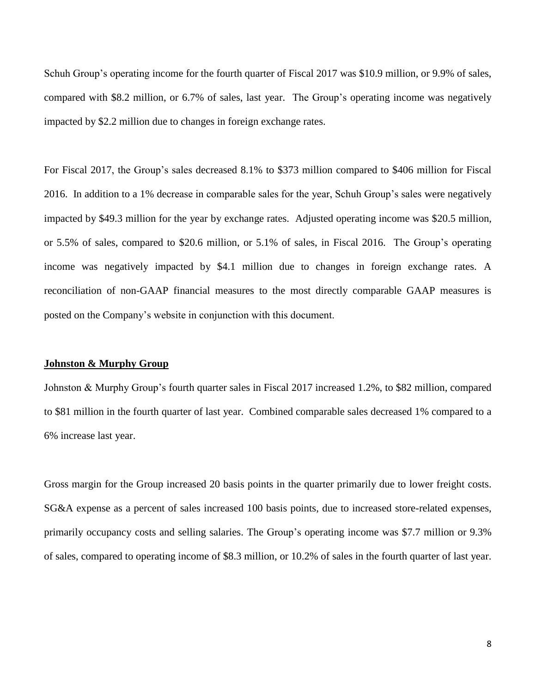Schuh Group's operating income for the fourth quarter of Fiscal 2017 was \$10.9 million, or 9.9% of sales, compared with \$8.2 million, or 6.7% of sales, last year. The Group's operating income was negatively impacted by \$2.2 million due to changes in foreign exchange rates.

For Fiscal 2017, the Group's sales decreased 8.1% to \$373 million compared to \$406 million for Fiscal 2016. In addition to a 1% decrease in comparable sales for the year, Schuh Group's sales were negatively impacted by \$49.3 million for the year by exchange rates. Adjusted operating income was \$20.5 million, or 5.5% of sales, compared to \$20.6 million, or 5.1% of sales, in Fiscal 2016. The Group's operating income was negatively impacted by \$4.1 million due to changes in foreign exchange rates. A reconciliation of non-GAAP financial measures to the most directly comparable GAAP measures is posted on the Company's website in conjunction with this document.

#### **Johnston & Murphy Group**

Johnston & Murphy Group's fourth quarter sales in Fiscal 2017 increased 1.2%, to \$82 million, compared to \$81 million in the fourth quarter of last year. Combined comparable sales decreased 1% compared to a 6% increase last year.

Gross margin for the Group increased 20 basis points in the quarter primarily due to lower freight costs. SG&A expense as a percent of sales increased 100 basis points, due to increased store-related expenses, primarily occupancy costs and selling salaries. The Group's operating income was \$7.7 million or 9.3% of sales, compared to operating income of \$8.3 million, or 10.2% of sales in the fourth quarter of last year.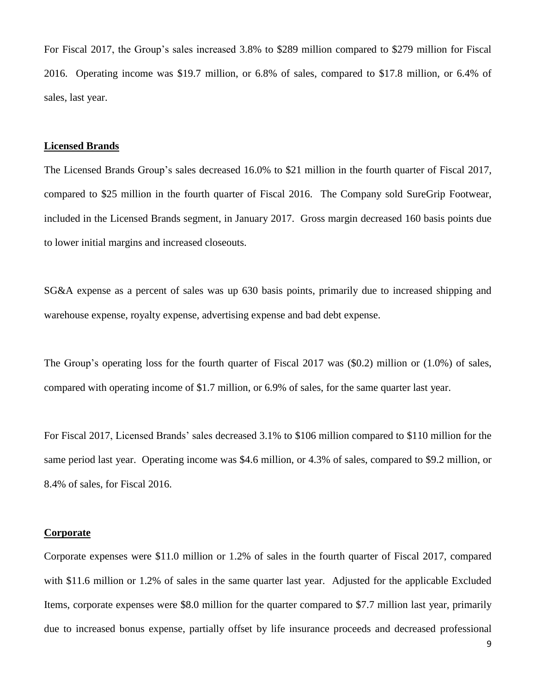For Fiscal 2017, the Group's sales increased 3.8% to \$289 million compared to \$279 million for Fiscal 2016. Operating income was \$19.7 million, or 6.8% of sales, compared to \$17.8 million, or 6.4% of sales, last year.

#### **Licensed Brands**

The Licensed Brands Group's sales decreased 16.0% to \$21 million in the fourth quarter of Fiscal 2017, compared to \$25 million in the fourth quarter of Fiscal 2016. The Company sold SureGrip Footwear, included in the Licensed Brands segment, in January 2017. Gross margin decreased 160 basis points due to lower initial margins and increased closeouts.

SG&A expense as a percent of sales was up 630 basis points, primarily due to increased shipping and warehouse expense, royalty expense, advertising expense and bad debt expense.

The Group's operating loss for the fourth quarter of Fiscal 2017 was (\$0.2) million or (1.0%) of sales, compared with operating income of \$1.7 million, or 6.9% of sales, for the same quarter last year.

For Fiscal 2017, Licensed Brands' sales decreased 3.1% to \$106 million compared to \$110 million for the same period last year. Operating income was \$4.6 million, or 4.3% of sales, compared to \$9.2 million, or 8.4% of sales, for Fiscal 2016.

#### **Corporate**

Corporate expenses were \$11.0 million or 1.2% of sales in the fourth quarter of Fiscal 2017, compared with \$11.6 million or 1.2% of sales in the same quarter last year. Adjusted for the applicable Excluded Items, corporate expenses were \$8.0 million for the quarter compared to \$7.7 million last year, primarily due to increased bonus expense, partially offset by life insurance proceeds and decreased professional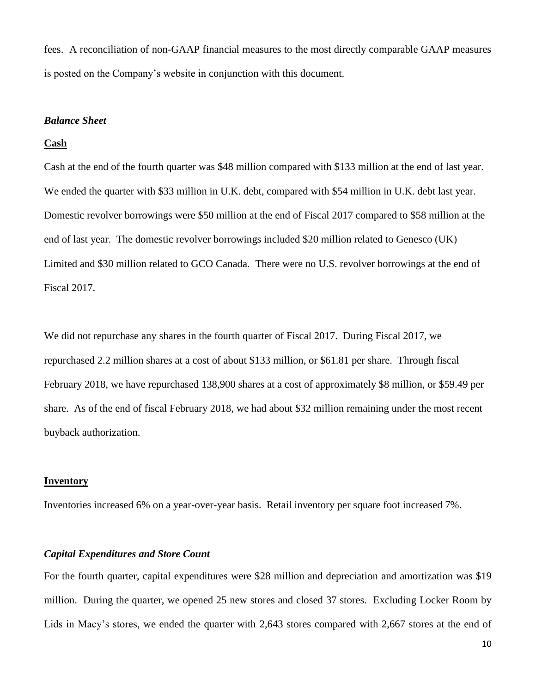fees. A reconciliation of non-GAAP financial measures to the most directly comparable GAAP measures is posted on the Company's website in conjunction with this document.

#### *Balance Sheet*

#### **Cash**

Cash at the end of the fourth quarter was \$48 million compared with \$133 million at the end of last year. We ended the quarter with \$33 million in U.K. debt, compared with \$54 million in U.K. debt last year. Domestic revolver borrowings were \$50 million at the end of Fiscal 2017 compared to \$58 million at the end of last year. The domestic revolver borrowings included \$20 million related to Genesco (UK) Limited and \$30 million related to GCO Canada. There were no U.S. revolver borrowings at the end of Fiscal 2017.

We did not repurchase any shares in the fourth quarter of Fiscal 2017. During Fiscal 2017, we repurchased 2.2 million shares at a cost of about \$133 million, or \$61.81 per share. Through fiscal February 2018, we have repurchased 138,900 shares at a cost of approximately \$8 million, or \$59.49 per share. As of the end of fiscal February 2018, we had about \$32 million remaining under the most recent buyback authorization.

#### **Inventory**

Inventories increased 6% on a year-over-year basis. Retail inventory per square foot increased 7%.

## *Capital Expenditures and Store Count*

For the fourth quarter, capital expenditures were \$28 million and depreciation and amortization was \$19 million. During the quarter, we opened 25 new stores and closed 37 stores. Excluding Locker Room by Lids in Macy's stores, we ended the quarter with 2,643 stores compared with 2,667 stores at the end of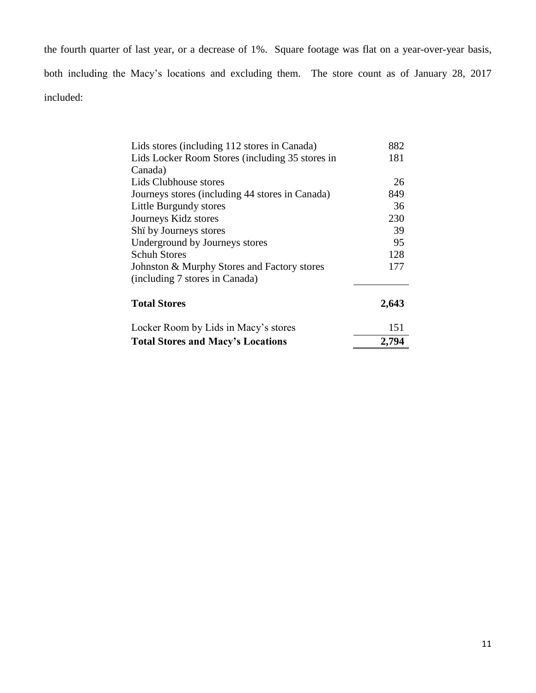the fourth quarter of last year, or a decrease of 1%. Square footage was flat on a year-over-year basis, both including the Macy's locations and excluding them. The store count as of January 28, 2017 included:

| Lids stores (including 112 stores in Canada)    | 882   |
|-------------------------------------------------|-------|
| Lids Locker Room Stores (including 35 stores in | 181   |
| Canada)                                         |       |
| Lids Clubhouse stores                           | 26    |
| Journeys stores (including 44 stores in Canada) | 849   |
| Little Burgundy stores                          | 36    |
| Journeys Kidz stores                            | 230   |
| Shi by Journeys stores                          | 39    |
| Underground by Journeys stores                  | 95    |
| <b>Schuh Stores</b>                             | 128   |
| Johnston & Murphy Stores and Factory stores     | 177   |
| (including 7 stores in Canada)                  |       |
| <b>Total Stores</b>                             | 2,643 |
| Locker Room by Lids in Macy's stores            | 151   |
| <b>Total Stores and Macy's Locations</b>        | 2,794 |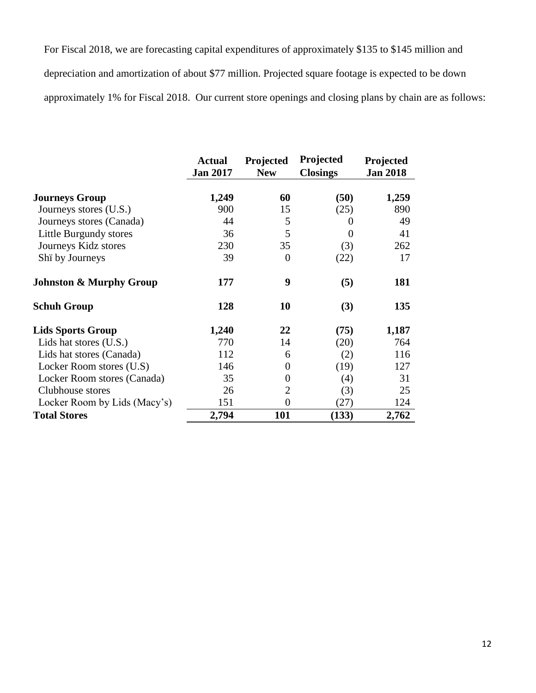For Fiscal 2018, we are forecasting capital expenditures of approximately \$135 to \$145 million and depreciation and amortization of about \$77 million. Projected square footage is expected to be down approximately 1% for Fiscal 2018. Our current store openings and closing plans by chain are as follows:

|                                    | <b>Actual</b><br><b>Jan 2017</b> | Projected<br><b>New</b> | Projected<br><b>Closings</b> | Projected<br><b>Jan 2018</b> |
|------------------------------------|----------------------------------|-------------------------|------------------------------|------------------------------|
| <b>Journeys Group</b>              | 1,249                            | 60                      | (50)                         | 1,259                        |
| Journeys stores (U.S.)             | 900                              | 15                      | (25)                         | 890                          |
| Journeys stores (Canada)           | 44                               | 5                       | $\theta$                     | 49                           |
| Little Burgundy stores             | 36                               | 5                       | 0                            | 41                           |
| Journeys Kidz stores               | 230                              | 35                      | (3)                          | 262                          |
| Shi by Journeys                    | 39                               | $\theta$                | (22)                         | 17                           |
| <b>Johnston &amp; Murphy Group</b> | 177                              | 9                       | (5)                          | 181                          |
| <b>Schuh Group</b>                 | 128                              | 10                      | (3)                          | 135                          |
| <b>Lids Sports Group</b>           | 1,240                            | 22                      | (75)                         | 1,187                        |
| Lids hat stores (U.S.)             | 770                              | 14                      | (20)                         | 764                          |
| Lids hat stores (Canada)           | 112                              | 6                       | (2)                          | 116                          |
| Locker Room stores (U.S)           | 146                              | 0                       | (19)                         | 127                          |
| Locker Room stores (Canada)        | 35                               | 0                       | (4)                          | 31                           |
| Clubhouse stores                   | 26                               | $\overline{2}$          | (3)                          | 25                           |
| Locker Room by Lids (Macy's)       | 151                              | $\overline{0}$          | (27)                         | 124                          |
| <b>Total Stores</b>                | 2,794                            | 101                     | (133)                        | 2,762                        |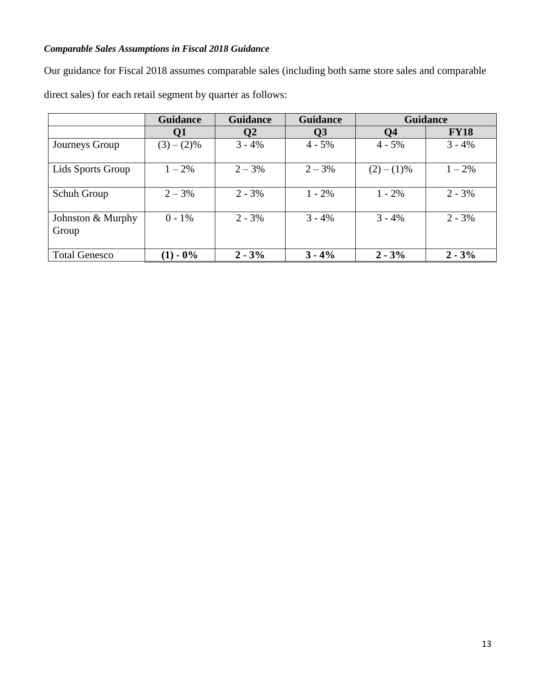# *Comparable Sales Assumptions in Fiscal 2018 Guidance*

Our guidance for Fiscal 2018 assumes comparable sales (including both same store sales and comparable direct sales) for each retail segment by quarter as follows:

|                            | <b>Guidance</b> | <b>Guidance</b> | <b>Guidance</b>        | <b>Guidance</b> |             |
|----------------------------|-----------------|-----------------|------------------------|-----------------|-------------|
|                            | Q1              | Q2              | $\overline{\text{O3}}$ | <b>Q4</b>       | <b>FY18</b> |
| Journeys Group             | $(3)-(2)\%$     | $3 - 4%$        | $4 - 5\%$              | $4 - 5\%$       | $3 - 4%$    |
| Lids Sports Group          | $1 - 2\%$       | $2 - 3%$        | $2 - 3\%$              | $(2)-(1)\%$     | $1 - 2\%$   |
| Schuh Group                | $2 - 3%$        | $2 - 3\%$       | $1 - 2\%$              | $1 - 2\%$       | $2 - 3\%$   |
| Johnston & Murphy<br>Group | $0 - 1\%$       | $2 - 3%$        | $3 - 4\%$              | $3 - 4\%$       | $2 - 3\%$   |
| <b>Total Genesco</b>       | $-0\%$<br>(1)   | $2 - 3%$        | $3 - 4\%$              | $2 - 3\%$       | $2 - 3%$    |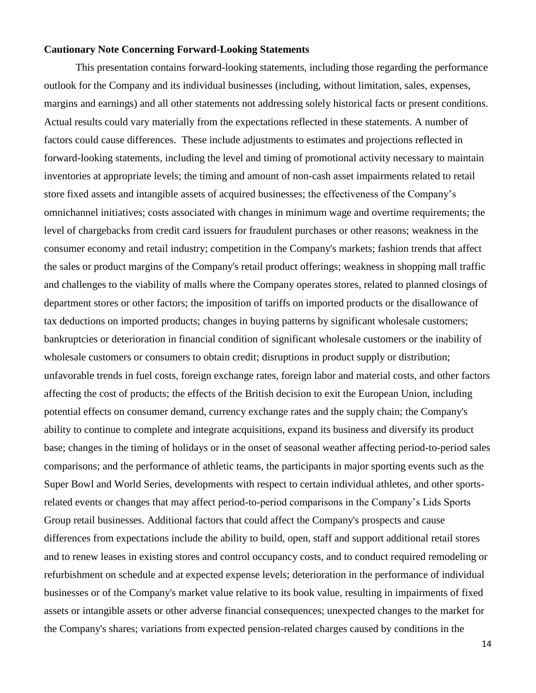### **Cautionary Note Concerning Forward-Looking Statements**

This presentation contains forward-looking statements, including those regarding the performance outlook for the Company and its individual businesses (including, without limitation, sales, expenses, margins and earnings) and all other statements not addressing solely historical facts or present conditions. Actual results could vary materially from the expectations reflected in these statements. A number of factors could cause differences. These include adjustments to estimates and projections reflected in forward-looking statements, including the level and timing of promotional activity necessary to maintain inventories at appropriate levels; the timing and amount of non-cash asset impairments related to retail store fixed assets and intangible assets of acquired businesses; the effectiveness of the Company's omnichannel initiatives; costs associated with changes in minimum wage and overtime requirements; the level of chargebacks from credit card issuers for fraudulent purchases or other reasons; weakness in the consumer economy and retail industry; competition in the Company's markets; fashion trends that affect the sales or product margins of the Company's retail product offerings; weakness in shopping mall traffic and challenges to the viability of malls where the Company operates stores, related to planned closings of department stores or other factors; the imposition of tariffs on imported products or the disallowance of tax deductions on imported products; changes in buying patterns by significant wholesale customers; bankruptcies or deterioration in financial condition of significant wholesale customers or the inability of wholesale customers or consumers to obtain credit; disruptions in product supply or distribution; unfavorable trends in fuel costs, foreign exchange rates, foreign labor and material costs, and other factors affecting the cost of products; the effects of the British decision to exit the European Union, including potential effects on consumer demand, currency exchange rates and the supply chain; the Company's ability to continue to complete and integrate acquisitions, expand its business and diversify its product base; changes in the timing of holidays or in the onset of seasonal weather affecting period-to-period sales comparisons; and the performance of athletic teams, the participants in major sporting events such as the Super Bowl and World Series, developments with respect to certain individual athletes, and other sportsrelated events or changes that may affect period-to-period comparisons in the Company's Lids Sports Group retail businesses. Additional factors that could affect the Company's prospects and cause differences from expectations include the ability to build, open, staff and support additional retail stores and to renew leases in existing stores and control occupancy costs, and to conduct required remodeling or refurbishment on schedule and at expected expense levels; deterioration in the performance of individual businesses or of the Company's market value relative to its book value, resulting in impairments of fixed assets or intangible assets or other adverse financial consequences; unexpected changes to the market for the Company's shares; variations from expected pension-related charges caused by conditions in the